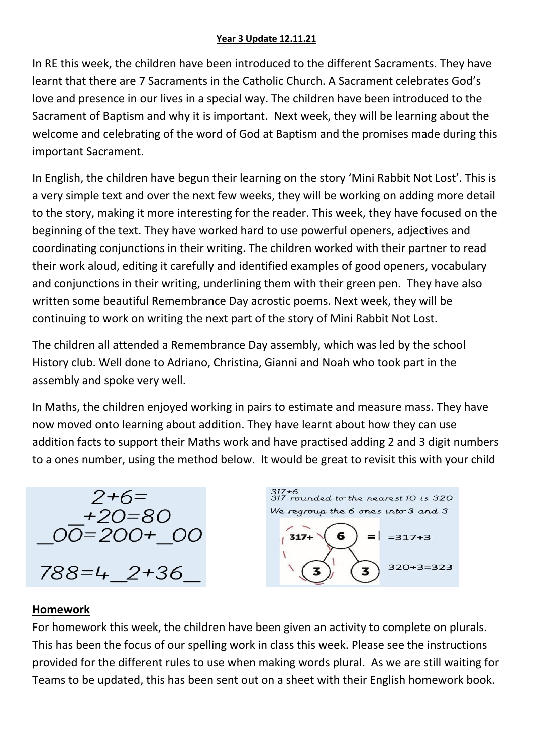#### **Year 3 Update 12.11.21**

In RE this week, the children have been introduced to the different Sacraments. They have learnt that there are 7 Sacraments in the Catholic Church. A Sacrament celebrates God's love and presence in our lives in a special way. The children have been introduced to the Sacrament of Baptism and why it is important. Next week, they will be learning about the welcome and celebrating of the word of God at Baptism and the promises made during this important Sacrament.

In English, the children have begun their learning on the story 'Mini Rabbit Not Lost'. This is a very simple text and over the next few weeks, they will be working on adding more detail to the story, making it more interesting for the reader. This week, they have focused on the beginning of the text. They have worked hard to use powerful openers, adjectives and coordinating conjunctions in their writing. The children worked with their partner to read their work aloud, editing it carefully and identified examples of good openers, vocabulary and conjunctions in their writing, underlining them with their green pen. They have also written some beautiful Remembrance Day acrostic poems. Next week, they will be continuing to work on writing the next part of the story of Mini Rabbit Not Lost.

The children all attended a Remembrance Day assembly, which was led by the school History club. Well done to Adriano, Christina, Gianni and Noah who took part in the assembly and spoke very well.

In Maths, the children enjoyed working in pairs to estimate and measure mass. They have now moved onto learning about addition. They have learnt about how they can use addition facts to support their Maths work and have practised adding 2 and 3 digit numbers to a ones number, using the method below. It would be great to revisit this with your child





#### **Homework**

For homework this week, the children have been given an activity to complete on plurals. This has been the focus of our spelling work in class this week. Please see the instructions provided for the different rules to use when making words plural. As we are still waiting for Teams to be updated, this has been sent out on a sheet with their English homework book.